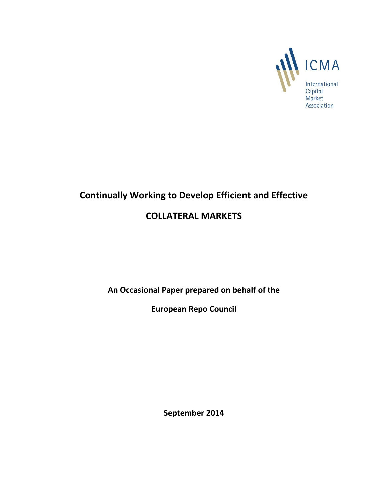

# **Continually Working to Develop Efficient and Effective**

## **COLLATERAL MARKETS**

**An Occasional Paper prepared on behalf of the** 

**European Repo Council**

**September 2014**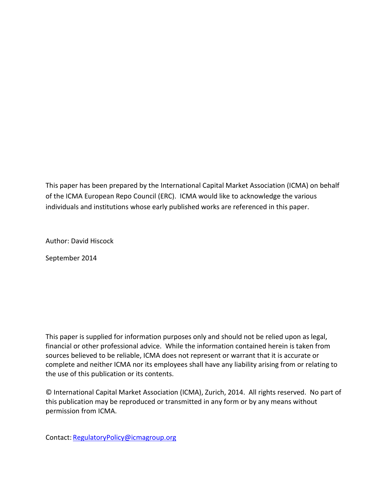This paper has been prepared by the International Capital Market Association (ICMA) on behalf of the ICMA European Repo Council (ERC). ICMA would like to acknowledge the various individuals and institutions whose early published works are referenced in this paper.

Author: David Hiscock

September 2014

This paper is supplied for information purposes only and should not be relied upon as legal, financial or other professional advice. While the information contained herein is taken from sources believed to be reliable, ICMA does not represent or warrant that it is accurate or complete and neither ICMA nor its employees shall have any liability arising from or relating to the use of this publication or its contents.

© International Capital Market Association (ICMA), Zurich, 2014. All rights reserved. No part of this publication may be reproduced or transmitted in any form or by any means without permission from ICMA.

Contact: [RegulatoryPolicy@icmagroup.org](mailto:RegulatoryPolicy@icmagroup.org)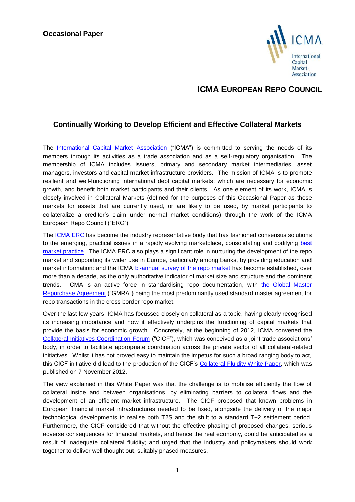#### **Occasional Paper**



### **ICMA EUROPEAN REPO COUNCIL**

#### **Continually Working to Develop Efficient and Effective Collateral Markets**

The [International Capital Market Association](http://www.icmagroup.org/) ("ICMA") is committed to serving the needs of its members through its activities as a trade association and as a self-regulatory organisation. The membership of ICMA includes issuers, primary and secondary market intermediaries, asset managers, investors and capital market infrastructure providers. The mission of ICMA is to promote resilient and well-functioning international debt capital markets; which are necessary for economic growth, and benefit both market participants and their clients. As one element of its work, ICMA is closely involved in Collateral Markets (defined for the purposes of this Occasional Paper as those markets for assets that are currently used, or are likely to be used, by market participants to collateralize a creditor's claim under normal market conditions) through the work of the ICMA European Repo Council ("ERC").

The [ICMA ERC](http://www.icmagroup.org/About-ICMA/icma-councils-and-committees/European-Repo-Council/) has become the industry representative body that has fashioned consensus solutions to the emerging, practical issues in a rapidly evolving marketplace, consolidating and codifying best [market practice.](http://www.icmagroup.org/Regulatory-Policy-and-Market-Practice/short-term-markets/Repo-Markets/repo0/) The ICMA ERC also plays a significant role in nurturing the development of the repo market and supporting its wider use in Europe, particularly among banks, by providing education and market information: and the ICMA [bi-annual survey of the repo market](http://www.icmagroup.org/Regulatory-Policy-and-Market-Practice/short-term-markets/Repo-Markets/repo/) has become established, over more than a decade, as the only authoritative indicator of market size and structure and the dominant trends. ICMA is an active force in standardising repo documentation, with [the Global Master](http://www.icmagroup.org/Regulatory-Policy-and-Market-Practice/short-term-markets/Repo-Markets/global-master-repurchase-agreement-gmra/)  [Repurchase Agreement](http://www.icmagroup.org/Regulatory-Policy-and-Market-Practice/short-term-markets/Repo-Markets/global-master-repurchase-agreement-gmra/) ("GMRA") being the most predominantly used standard master agreement for repo transactions in the cross border repo market.

Over the last few years, ICMA has focussed closely on collateral as a topic, having clearly recognised its increasing importance and how it effectively underpins the functioning of capital markets that provide the basis for economic growth. Concretely, at the beginning of 2012, ICMA convened the [Collateral Initiatives Coordination Forum](http://www.icmagroup.org/Regulatory-Policy-and-Market-Practice/collateral-initiatives-coordination-forum/) ("CICF"), which was conceived as a joint trade associations' body, in order to facilitate appropriate coordination across the private sector of all collateral-related initiatives. Whilst it has not proved easy to maintain the impetus for such a broad ranging body to act, this CICF initiative did lead to the production of the CICF's [Collateral Fluidity White Paper,](http://www.icmagroup.org/assets/documents/Media/Press-releases-2012/Collateral-Initiatives-Coordination-Forum-%28CICF%29-calls-for-urgent-focus-on-collateral-fluidity-7Nov2012v2.pdf) which was published on 7 November 2012.

The view explained in this White Paper was that the challenge is to mobilise efficiently the flow of collateral inside and between organisations, by eliminating barriers to collateral flows and the development of an efficient market infrastructure. The CICF proposed that known problems in European financial market infrastructures needed to be fixed, alongside the delivery of the major technological developments to realise both T2S and the shift to a standard T+2 settlement period. Furthermore, the CICF considered that without the effective phasing of proposed changes, serious adverse consequences for financial markets, and hence the real economy, could be anticipated as a result of inadequate collateral fluidity; and urged that the industry and policymakers should work together to deliver well thought out, suitably phased measures.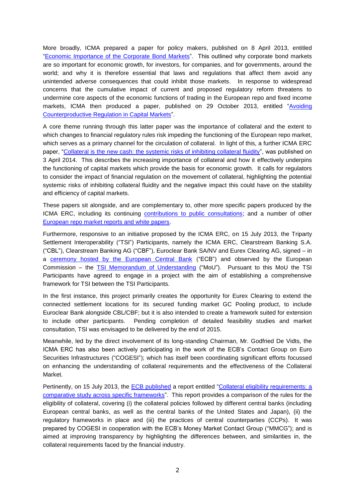More broadly, ICMA prepared a paper for policy makers, published on 8 April 2013, entitled ["Economic Importance of the Corporate Bond Markets"](http://www.icmagroup.org/assets/documents/Media/Brochures/2013/Corporate-Bond-Markets-March-2013.pdf). This outlined why corporate bond markets are so important for economic growth, for investors, for companies, and for governments, around the world; and why it is therefore essential that laws and regulations that affect them avoid any unintended adverse consequences that could inhibit those markets. In response to widespread concerns that the cumulative impact of current and proposed regulatory reform threatens to undermine core aspects of the economic functions of trading in the European repo and fixed income markets, ICMA then produced a paper, published on 29 October 2013, entitled "Avoiding [Counterproductive Regulation in Capital Markets"](http://www.icmagroup.org/assets/documents/Regulatory/Other-projects/Avoiding-Counterproductive-Regulation.pdf).

A core theme running through this latter paper was the importance of collateral and the extent to which changes to financial regulatory rules risk impeding the functioning of the European repo market, which serves as a primary channel for the circulation of collateral. In light of this, a further ICMA ERC paper, ["Collateral is the new cash: the systemic risks of inhibiting collateral fluidity"](http://www.icmagroup.org/assets/documents/Media/Press-releases-2014/ICMA-1403---ICMA-paper-identifes-the-systemic-risks-of-restricting-collateral-movement.pdf), was published on 3 April 2014. This describes the increasing importance of collateral and how it effectively underpins the functioning of capital markets which provide the basis for economic growth. It calls for regulators to consider the impact of financial regulation on the movement of collateral, highlighting the potential systemic risks of inhibiting collateral fluidity and the negative impact this could have on the stability and efficiency of capital markets.

These papers sit alongside, and are complementary to, other more specific papers produced by the ICMA ERC, including its continuing [contributions to public consultations;](http://www.icmagroup.org/Regulatory-Policy-and-Market-Practice/short-term-markets/Repo-Markets/erc-contributions/) and a number of other [European repo market reports and white papers.](http://www.icmagroup.org/Regulatory-Policy-and-Market-Practice/short-term-markets/Repo-Markets/icma-european-repo-market-reports-and-white-papers/)

Furthermore, responsive to an initiative proposed by the ICMA ERC, on 15 July 2013, the Triparty Settlement Interoperability ("TSI") Participants, namely the ICMA ERC, Clearstream Banking S.A. ("CBL"), Clearstream Banking AG ("CBF"), Euroclear Bank SA/NV and Eurex Clearing AG, signed – in a [ceremony hosted by the European Central Bank](http://www.ecb.europa.eu/press/key/date/2013/html/sp130715.en.html) ("ECB") and observed by the European Commission – the [TSI Memorandum of Understanding](http://www.icmagroup.org/assets/documents/Media/Press-releases-2013/European-organisations-aim-to-boost-triparty-repo-settlement-interoperability-by-2015---15-July-2.pdf) ("MoU"). Pursuant to this MoU the TSI Participants have agreed to engage in a project with the aim of establishing a comprehensive framework for TSI between the TSI Participants.

In the first instance, this project primarily creates the opportunity for Eurex Clearing to extend the connected settlement locations for its secured funding market GC Pooling product, to include Euroclear Bank alongside CBL/CBF; but it is also intended to create a framework suited for extension to include other participants. Pending completion of detailed feasibility studies and market consultation, TSI was envisaged to be delivered by the end of 2015.

Meanwhile, led by the direct involvement of its long-standing Chairman, Mr. Godfried De Vidts, the ICMA ERC has also been actively participating in the work of the ECB's Contact Group on Euro Securities Infrastructures ("COGESI"); which has itself been coordinating significant efforts focussed on enhancing the understanding of collateral requirements and the effectiveness of the Collateral Market.

Pertinently, on 15 July 2013, the [ECB published](http://www.ecb.europa.eu/press/pr/date/2013/html/pr130715.en.html) a report entitled "Collateral eligibility requirements: a [comparative study across specific frameworks"](http://www.ecb.europa.eu/pub/pdf/other/collateralframeworksen.pdf?99585c29c0761d5b95c84361819d868f). This report provides a comparison of the rules for the eligibility of collateral, covering (i) the collateral policies followed by different central banks (including European central banks, as well as the central banks of the United States and Japan), (ii) the regulatory frameworks in place and (iii) the practices of central counterparties (CCPs). It was prepared by COGESI in cooperation with the ECB's Money Market Contact Group ("MMCG"); and is aimed at improving transparency by highlighting the differences between, and similarities in, the collateral requirements faced by the financial industry.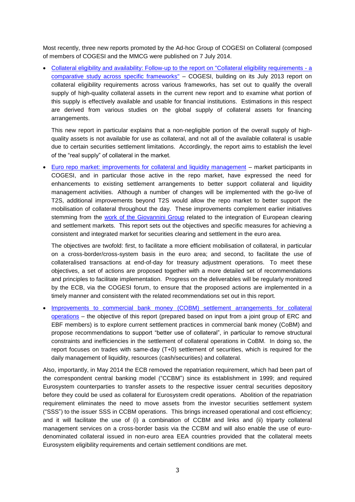Most recently, three new reports promoted by the Ad-hoc Group of COGESI on Collateral (composed of members of COGESI and the MMCG were published on 7 July 2014.

 [Collateral eligibility and availability: Follow-up to the report on "Collateral eligibility requirements -](http://www.ecb.europa.eu/pub/pdf/other/cea201407en.pdf) a [comparative study across specific frameworks"](http://www.ecb.europa.eu/pub/pdf/other/cea201407en.pdf) – COGESI, building on its July 2013 report on collateral eligibility requirements across various frameworks, has set out to qualify the overall supply of high-quality collateral assets in the current new report and to examine what portion of this supply is effectively available and usable for financial institutions. Estimations in this respect are derived from various studies on the global supply of collateral assets for financing arrangements.

This new report in particular explains that a non-negligible portion of the overall supply of highquality assets is not available for use as collateral, and not all of the available collateral is usable due to certain securities settlement limitations. Accordingly, the report aims to establish the level of the "real supply" of collateral in the market.

 [Euro repo market: improvements for collateral and liquidity management](http://www.ecb.europa.eu/pub/pdf/other/erm201407en.pdf) – market participants in COGESI, and in particular those active in the repo market, have expressed the need for enhancements to existing settlement arrangements to better support collateral and liquidity management activities. Although a number of changes will be implemented with the go-live of T2S, additional improvements beyond T2S would allow the repo market to better support the mobilisation of collateral throughout the day. These improvements complement earlier initiatives stemming from the [work of the Giovannini Group](http://europa.eu/legislation_summaries/internal_market/single_market_services/financial_services_transactions_in_securities/l32002_en.htm) related to the integration of European clearing and settlement markets. This report sets out the objectives and specific measures for achieving a consistent and integrated market for securities clearing and settlement in the euro area.

The objectives are twofold: first, to facilitate a more efficient mobilisation of collateral, in particular on a cross-border/cross-system basis in the euro area; and second, to facilitate the use of collateralised transactions at end-of-day for treasury adjustment operations. To meet these objectives, a set of actions are proposed together with a more detailed set of recommendations and principles to facilitate implementation. Progress on the deliverables will be regularly monitored by the ECB, via the COGESI forum, to ensure that the proposed actions are implemented in a timely manner and consistent with the related recommendations set out in this report.

 [Improvements to commercial bank money \(COBM\) settlement arrangements for collateral](http://www.ecb.europa.eu/pub/pdf/other/cobm201407en.pdf)  [operations](http://www.ecb.europa.eu/pub/pdf/other/cobm201407en.pdf) – the objective of this report (prepared based on input from a joint group of ERC and EBF members) is to explore current settlement practices in commercial bank money (CoBM) and propose recommendations to support "better use of collateral", in particular to remove structural constraints and inefficiencies in the settlement of collateral operations in CoBM. In doing so, the report focuses on trades with same-day (T+0) settlement of securities, which is required for the daily management of liquidity, resources (cash/securities) and collateral.

Also, importantly, in May 2014 the ECB removed the repatriation requirement, which had been part of the correspondent central banking model ("CCBM") since its establishment in 1999; and required Eurosystem counterparties to transfer assets to the respective issuer central securities depository before they could be used as collateral for Eurosystem credit operations. Abolition of the repatriation requirement eliminates the need to move assets from the investor securities settlement system ("SSS") to the issuer SSS in CCBM operations. This brings increased operational and cost efficiency; and it will facilitate the use of (i) a combination of CCBM and links and (ii) triparty collateral management services on a cross-border basis via the CCBM and will also enable the use of eurodenominated collateral issued in non-euro area EEA countries provided that the collateral meets Eurosystem eligibility requirements and certain settlement conditions are met.